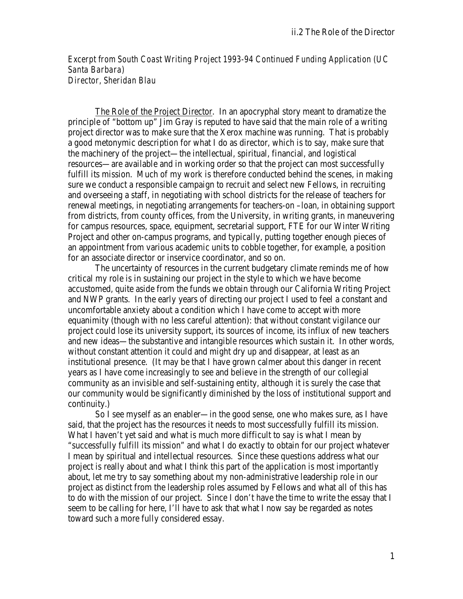*Excerpt from South Coast Writing Project 1993-94 Continued Funding Application (UC Santa Barbara) Director, Sheridan Blau*

The Role of the Project Director. In an apocryphal story meant to dramatize the principle of "bottom up" Jim Gray is reputed to have said that the main role of a writing project director was to make sure that the Xerox machine was running. That is probably a good metonymic description for what I do as director, which is to say, make sure that the machinery of the project—the intellectual, spiritual, financial, and logistical resources—are available and in working order so that the project can most successfully fulfill its mission. Much of my work is therefore conducted behind the scenes, in making sure we conduct a responsible campaign to recruit and select new Fellows, in recruiting and overseeing a staff, in negotiating with school districts for the release of teachers for renewal meetings, in negotiating arrangements for teachers-on –loan, in obtaining support from districts, from county offices, from the University, in writing grants, in maneuvering for campus resources, space, equipment, secretarial support, FTE for our Winter Writing Project and other on-campus programs, and typically, putting together enough pieces of an appointment from various academic units to cobble together, for example, a position for an associate director or inservice coordinator, and so on.

The uncertainty of resources in the current budgetary climate reminds me of how critical my role is in sustaining our project in the style to which we have become accustomed, quite aside from the funds we obtain through our California Writing Project and NWP grants. In the early years of directing our project I used to feel a constant and uncomfortable anxiety about a condition which I have come to accept with more equanimity (though with no less careful attention): that without constant vigilance our project could lose its university support, its sources of income, its influx of new teachers and new ideas—the substantive and intangible resources which sustain it. In other words, without constant attention it could and might dry up and disappear, at least as an institutional presence. (It may be that I have grown calmer about this danger in recent years as I have come increasingly to see and believe in the strength of our collegial community as an invisible and self-sustaining entity, although it is surely the case that our community would be significantly diminished by the loss of institutional support and continuity.)

So I see myself as an enabler—in the good sense, one who makes sure, as I have said, that the project has the resources it needs to most successfully fulfill its mission. What I haven't yet said and what is much more difficult to say is what I mean by "successfully fulfill its mission" and what I do exactly to obtain for our project whatever I mean by spiritual and intellectual resources. Since these questions address what our project is really about and what I think this part of the application is most importantly about, let me try to say something about my non-administrative leadership role in our project as distinct from the leadership roles assumed by Fellows and what all of this has to do with the mission of our project. Since I don't have the time to write the essay that I seem to be calling for here, I'll have to ask that what I now say be regarded as notes toward such a more fully considered essay.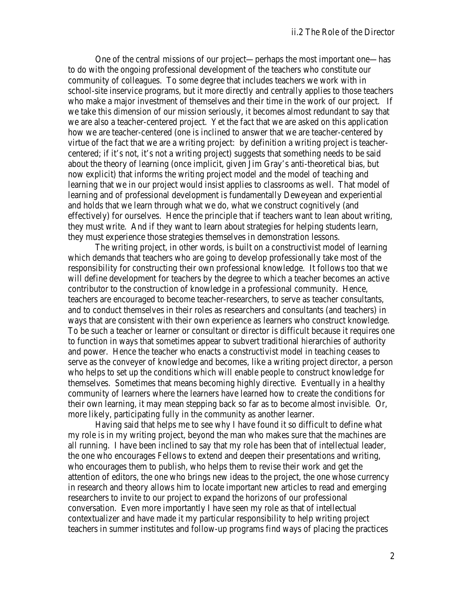One of the central missions of our project—perhaps the most important one—has to do with the ongoing professional development of the teachers who constitute our community of colleagues. To some degree that includes teachers we work with in school-site inservice programs, but it more directly and centrally applies to those teachers who make a major investment of themselves and their time in the work of our project. If we take this dimension of our mission seriously, it becomes almost redundant to say that we are also a teacher-centered project. Yet the fact that we are asked on this application how we are teacher-centered (one is inclined to answer that we are teacher-centered by virtue of the fact that we are a writing project: by definition a writing project is teachercentered; if it's not, it's not a writing project) suggests that something needs to be said about the theory of learning (once implicit, given Jim Gray's anti-theoretical bias, but now explicit) that informs the writing project model and the model of teaching and learning that we in our project would insist applies to classrooms as well. That model of learning and of professional development is fundamentally Deweyean and experiential and holds that we learn through what we do, what we construct cognitively (and effectively) for ourselves. Hence the principle that if teachers want to lean about writing, they must write. And if they want to learn about strategies for helping students learn, they must experience those strategies themselves in demonstration lessons.

The writing project, in other words, is built on a constructivist model of learning which demands that teachers who are going to develop professionally take most of the responsibility for constructing their own professional knowledge. It follows too that we will define development for teachers by the degree to which a teacher becomes an active contributor to the construction of knowledge in a professional community. Hence, teachers are encouraged to become teacher-researchers, to serve as teacher consultants, and to conduct themselves in their roles as researchers and consultants (and teachers) in ways that are consistent with their own experience as learners who construct knowledge. To be such a teacher or learner or consultant or director is difficult because it requires one to function in ways that sometimes appear to subvert traditional hierarchies of authority and power. Hence the teacher who enacts a constructivist model in teaching ceases to serve as the conveyer of knowledge and becomes, like a writing project director, a person who helps to set up the conditions which will enable people to construct knowledge for themselves. Sometimes that means becoming highly directive. Eventually in a healthy community of learners where the learners have learned how to create the conditions for their own learning, it may mean stepping back so far as to become almost invisible. Or, more likely, participating fully in the community as another learner.

Having said that helps me to see why I have found it so difficult to define what my role is in my writing project, beyond the man who makes sure that the machines are all running. I have been inclined to say that my role has been that of intellectual leader, the one who encourages Fellows to extend and deepen their presentations and writing, who encourages them to publish, who helps them to revise their work and get the attention of editors, the one who brings new ideas to the project, the one whose currency in research and theory allows him to locate important new articles to read and emerging researchers to invite to our project to expand the horizons of our professional conversation. Even more importantly I have seen my role as that of intellectual contextualizer and have made it my particular responsibility to help writing project teachers in summer institutes and follow-up programs find ways of placing the practices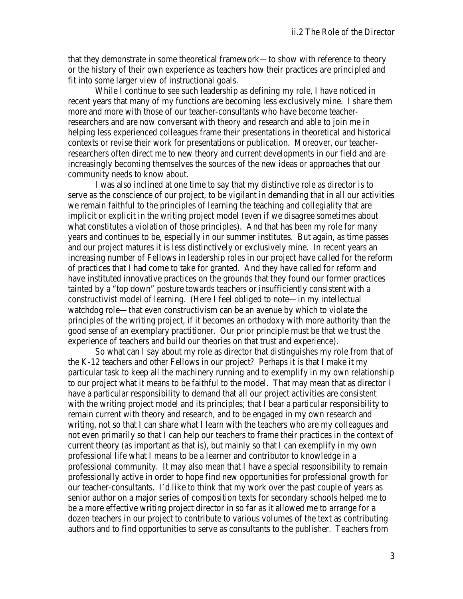that they demonstrate in some theoretical framework—to show with reference to theory or the history of their own experience as teachers how their practices are principled and fit into some larger view of instructional goals.

While I continue to see such leadership as defining my role, I have noticed in recent years that many of my functions are becoming less exclusively mine. I share them more and more with those of our teacher-consultants who have become teacherresearchers and are now conversant with theory and research and able to join me in helping less experienced colleagues frame their presentations in theoretical and historical contexts or revise their work for presentations or publication. Moreover, our teacherresearchers often direct me to new theory and current developments in our field and are increasingly becoming themselves the sources of the new ideas or approaches that our community needs to know about.

I was also inclined at one time to say that my distinctive role as director is to serve as the conscience of our project, to be vigilant in demanding that in all our activities we remain faithful to the principles of learning the teaching and collegiality that are implicit or explicit in the writing project model (even if we disagree sometimes about what constitutes a violation of those principles). And that has been my role for many years and continues to be, especially in our summer institutes. But again, as time passes and our project matures it is less distinctively or exclusively mine. In recent years an increasing number of Fellows in leadership roles in our project have called for the reform of practices that I had come to take for granted. And they have called for reform and have instituted innovative practices on the grounds that they found our former practices tainted by a "top down" posture towards teachers or insufficiently consistent with a constructivist model of learning. (Here I feel obliged to note—in my intellectual watchdog role—that even constructivism can be an avenue by which to violate the principles of the writing project, if it becomes an orthodoxy with more authority than the good sense of an exemplary practitioner. Our prior principle must be that we trust the experience of teachers and build our theories on that trust and experience).

So what can I say about my role as director that distinguishes my role from that of the K-12 teachers and other Fellows in our project? Perhaps it is that I make it my particular task to keep all the machinery running and to exemplify in my own relationship to our project what it means to be faithful to the model. That may mean that as director I have a particular responsibility to demand that all our project activities are consistent with the writing project model and its principles; that I bear a particular responsibility to remain current with theory and research, and to be engaged in my own research and writing, not so that I can share what I learn with the teachers who are my colleagues and not even primarily so that I can help our teachers to frame their practices in the context of current theory (as important as that is), but mainly so that I can exemplify in my own professional life what I means to be a learner and contributor to knowledge in a professional community. It may also mean that I have a special responsibility to remain professionally active in order to hope find new opportunities for professional growth for our teacher-consultants. I'd like to think that my work over the past couple of years as senior author on a major series of composition texts for secondary schools helped me to be a more effective writing project director in so far as it allowed me to arrange for a dozen teachers in our project to contribute to various volumes of the text as contributing authors and to find opportunities to serve as consultants to the publisher. Teachers from